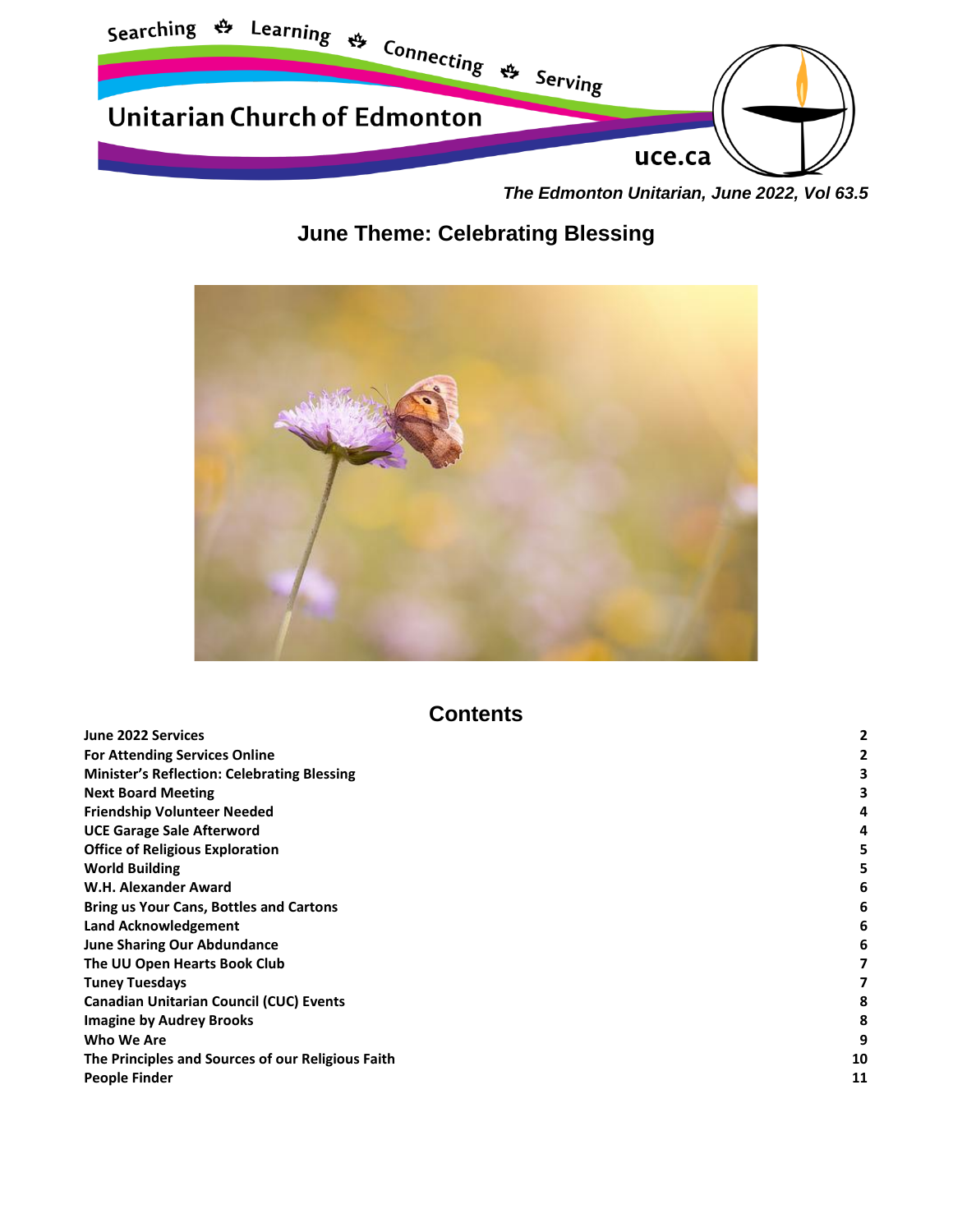

*The Edmonton Unitarian, June 2022, Vol 63.5*

# **June Theme: Celebrating Blessing**



# **Contents**

| June 2022 Services                                 |    |
|----------------------------------------------------|----|
| <b>For Attending Services Online</b>               |    |
| <b>Minister's Reflection: Celebrating Blessing</b> |    |
| <b>Next Board Meeting</b>                          |    |
| <b>Friendship Volunteer Needed</b>                 | 4  |
| <b>UCE Garage Sale Afterword</b>                   | 4  |
| <b>Office of Religious Exploration</b>             |    |
| <b>World Building</b>                              |    |
| W.H. Alexander Award                               |    |
| <b>Bring us Your Cans, Bottles and Cartons</b>     | 6  |
| Land Acknowledgement                               |    |
| <b>June Sharing Our Abdundance</b>                 |    |
| The UU Open Hearts Book Club                       |    |
| <b>Tuney Tuesdays</b>                              |    |
| <b>Canadian Unitarian Council (CUC) Events</b>     |    |
| <b>Imagine by Audrey Brooks</b>                    |    |
| Who We Are                                         | 9  |
| The Principles and Sources of our Religious Faith  | 10 |
| <b>People Finder</b>                               | 11 |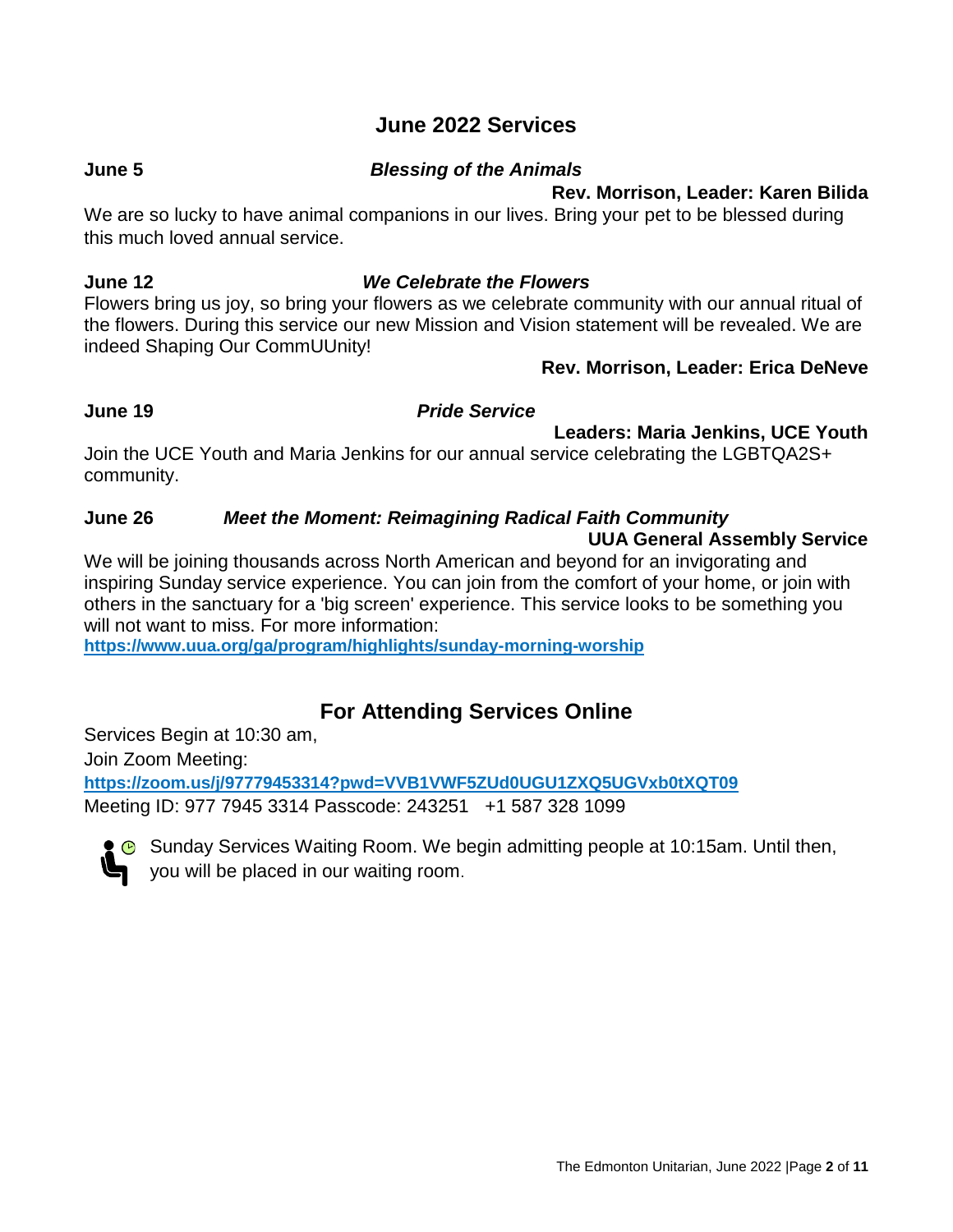## **June 2022 Services**

#### <span id="page-1-0"></span>**June 5** *Blessing of the Animals*

#### **Rev. Morrison, Leader: Karen Bilida**

We are so lucky to have animal companions in our lives. Bring your pet to be blessed during this much loved annual service.

#### **June 12** *We Celebrate the Flowers*

Flowers bring us joy, so bring your flowers as we celebrate community with our annual ritual of the flowers. During this service our new Mission and Vision statement will be revealed. We are indeed Shaping Our CommUUnity!

#### **Rev. Morrison, Leader: Erica DeNeve**

#### **June 19** *Pride Service*

#### **Leaders: Maria Jenkins, UCE Youth**

Join the UCE Youth and Maria Jenkins for our annual service celebrating the LGBTQA2S+ community.

#### **June 26** *Meet the Moment: Reimagining Radical Faith Community* **UUA General Assembly Service**

We will be joining thousands across North American and beyond for an invigorating and inspiring Sunday service experience. You can join from the comfort of your home, or join with others in the sanctuary for a 'big screen' experience. This service looks to be something you will not want to miss. For more information:

**<https://www.uua.org/ga/program/highlights/sunday-morning-worship>**

# **For Attending Services Online**

<span id="page-1-1"></span>Services Begin at 10:30 am, Join Zoom Meeting: **<https://zoom.us/j/97779453314?pwd=VVB1VWF5ZUd0UGU1ZXQ5UGVxb0tXQT09>** Meeting ID: 977 7945 3314 Passcode: 243251 +1 587 328 1099



Sunday Services Waiting Room. We begin admitting people at 10:15am. Until then, you will be placed in our waiting room.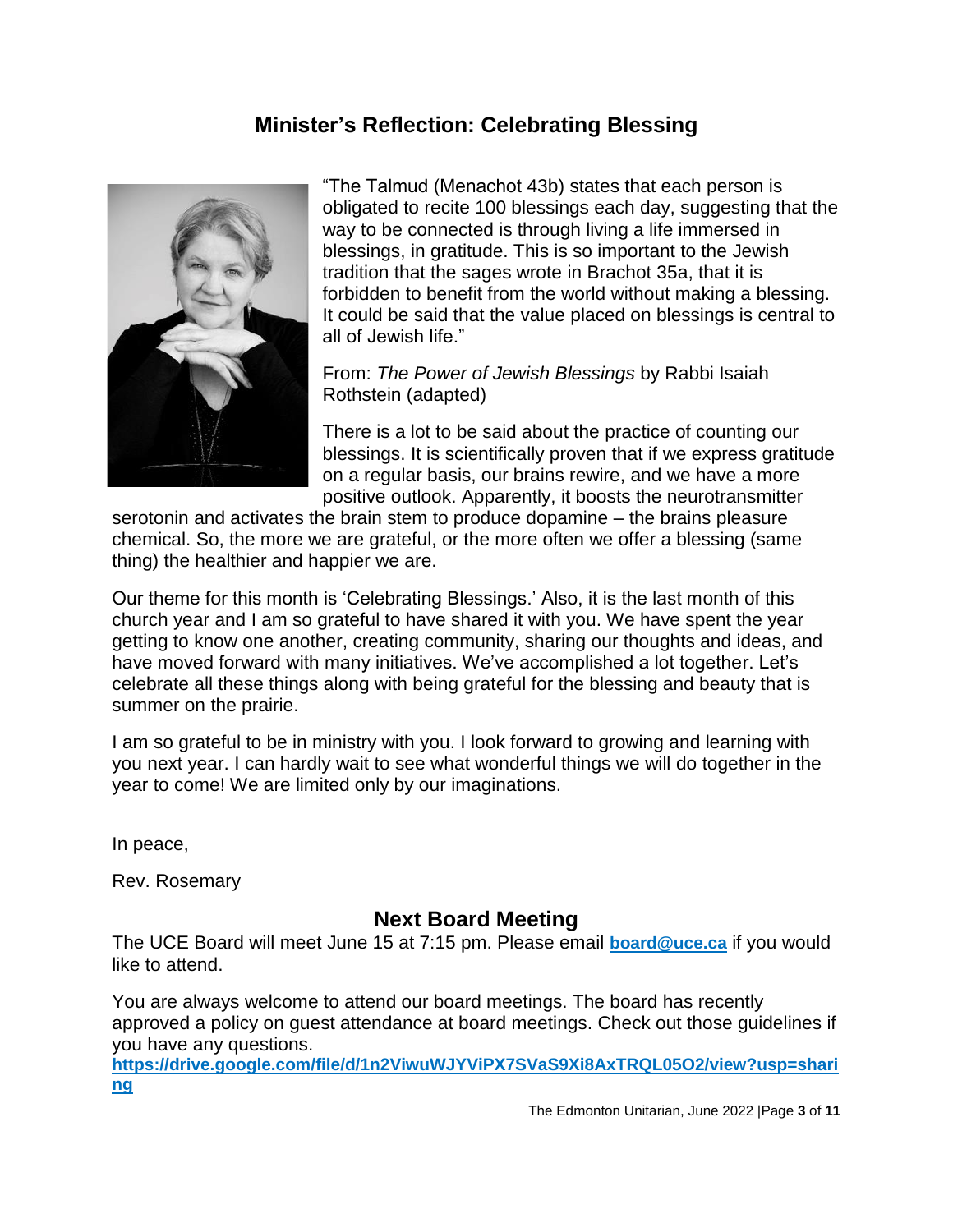## **Minister's Reflection: Celebrating Blessing**

<span id="page-2-0"></span>

"The Talmud (Menachot 43b) states that each person is obligated to recite 100 blessings each day, suggesting that the way to be connected is through living a life immersed in blessings, in gratitude. This is so important to the Jewish tradition that the sages wrote in Brachot 35a, that it is forbidden to benefit from the world without making a blessing. It could be said that the value placed on blessings is central to all of Jewish life."

From: *The Power of Jewish Blessings* by Rabbi Isaiah Rothstein (adapted)

There is a lot to be said about the practice of counting our blessings. It is scientifically proven that if we express gratitude on a regular basis, our brains rewire, and we have a more positive outlook. Apparently, it boosts the neurotransmitter

serotonin and activates the brain stem to produce dopamine – the brains pleasure chemical. So, the more we are grateful, or the more often we offer a blessing (same thing) the healthier and happier we are.

Our theme for this month is 'Celebrating Blessings.' Also, it is the last month of this church year and I am so grateful to have shared it with you. We have spent the year getting to know one another, creating community, sharing our thoughts and ideas, and have moved forward with many initiatives. We've accomplished a lot together. Let's celebrate all these things along with being grateful for the blessing and beauty that is summer on the prairie.

I am so grateful to be in ministry with you. I look forward to growing and learning with you next year. I can hardly wait to see what wonderful things we will do together in the year to come! We are limited only by our imaginations.

In peace,

Rev. Rosemary

#### **Next Board Meeting**

<span id="page-2-1"></span>The UCE Board will meet June 15 at 7:15 pm. Please email **[board@uce.ca](mailto:board@uce.ca)** if you would like to attend.

You are always welcome to attend our board meetings. The board has recently approved a policy on guest attendance at board meetings. Check out those guidelines if you have any questions.

**https://drive.google.com/file/d/1n2ViwuWJYViPX7SVaS9Xi8AxTRQL05O2/view?usp=shari ng**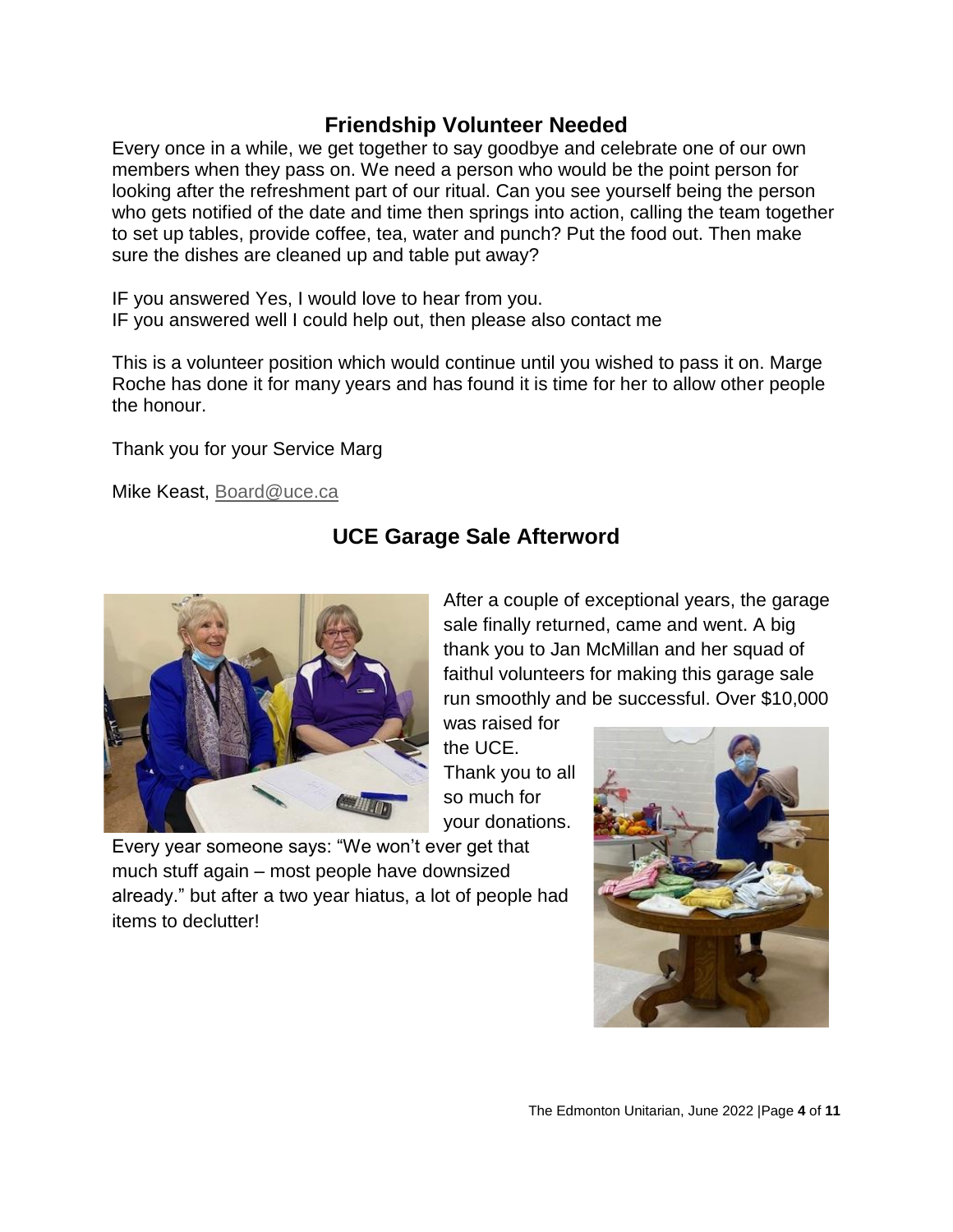### **Friendship Volunteer Needed**

<span id="page-3-0"></span>Every once in a while, we get together to say goodbye and celebrate one of our own members when they pass on. We need a person who would be the point person for looking after the refreshment part of our ritual. Can you see yourself being the person who gets notified of the date and time then springs into action, calling the team together to set up tables, provide coffee, tea, water and punch? Put the food out. Then make sure the dishes are cleaned up and table put away?

IF you answered Yes, I would love to hear from you. IF you answered well I could help out, then please also contact me

This is a volunteer position which would continue until you wished to pass it on. Marge Roche has done it for many years and has found it is time for her to allow other people the honour.

Thank you for your Service Marg

<span id="page-3-1"></span>Mike Keast, [Board@uce.ca](mailto:Board@uce.ca)

# **UCE Garage Sale Afterword**



After a couple of exceptional years, the garage sale finally returned, came and went. A big thank you to Jan McMillan and her squad of faithul volunteers for making this garage sale run smoothly and be successful. Over \$10,000

was raised for the UCE. Thank you to all so much for your donations.

Every year someone says: "We won't ever get that much stuff again – most people have downsized already." but after a two year hiatus, a lot of people had items to declutter!

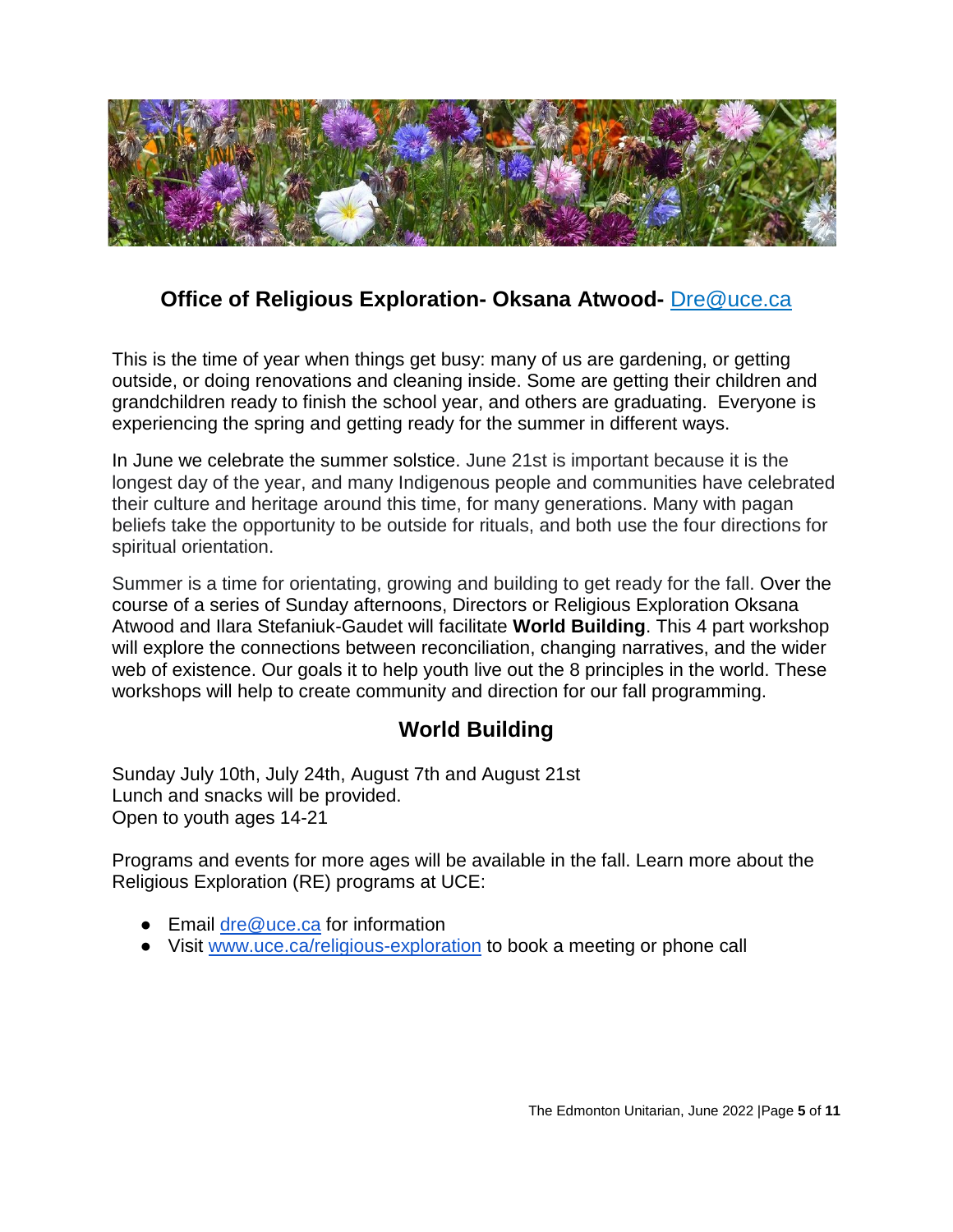

# <span id="page-4-0"></span>**Office of Religious Exploration- Oksana Atwood-** [Dre@uce.ca](mailto:Dre@uce.ca)

This is the time of year when things get busy: many of us are gardening, or getting outside, or doing renovations and cleaning inside. Some are getting their children and grandchildren ready to finish the school year, and others are graduating. Everyone is experiencing the spring and getting ready for the summer in different ways.

In June we celebrate the summer solstice. June 21st is important because it is the longest day of the year, and many Indigenous people and communities have celebrated their culture and heritage around this time, for many generations. Many with pagan beliefs take the opportunity to be outside for rituals, and both use the four directions for spiritual orientation.

Summer is a time for orientating, growing and building to get ready for the fall. Over the course of a series of Sunday afternoons, Directors or Religious Exploration Oksana Atwood and Ilara Stefaniuk-Gaudet will facilitate **World Building**. This 4 part workshop will explore the connections between reconciliation, changing narratives, and the wider web of existence. Our goals it to help youth live out the 8 principles in the world. These workshops will help to create community and direction for our fall programming.

# **World Building**

<span id="page-4-1"></span>Sunday July 10th, July 24th, August 7th and August 21st Lunch and snacks will be provided. Open to youth ages 14-21

Programs and events for more ages will be available in the fall. Learn more about the Religious Exploration (RE) programs at UCE:

- Email dre  $@$  uce.ca for information
- Visit [www.uce.ca/religious-exploration](http://www.uce.ca/religious-exploration) to book a meeting or phone call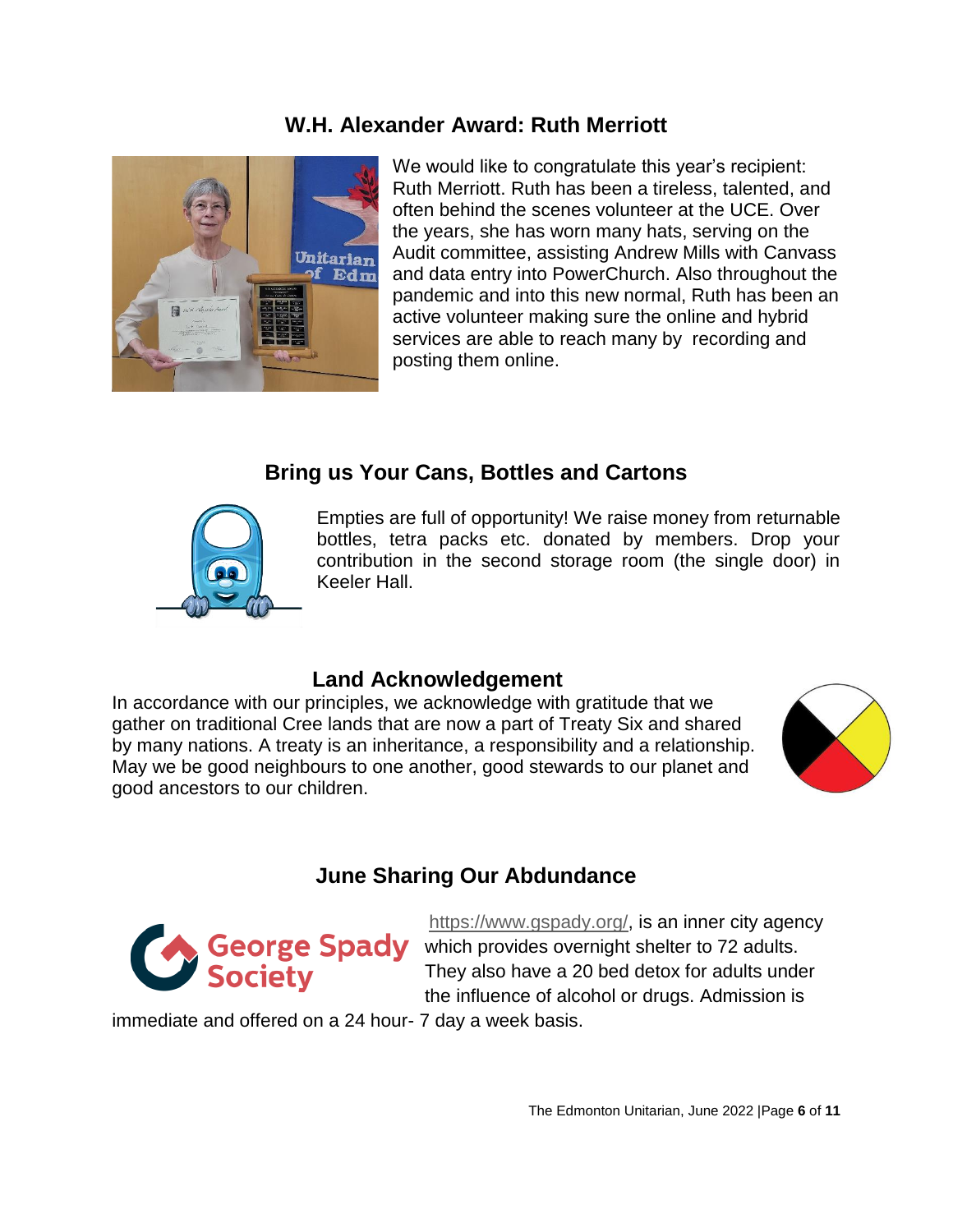#### <span id="page-5-0"></span>**W.H. Alexander Award: Ruth Merriott**



We would like to congratulate this year's recipient: Ruth Merriott. Ruth has been a tireless, talented, and often behind the scenes volunteer at the UCE. Over the years, she has worn many hats, serving on the Audit committee, assisting Andrew Mills with Canvass and data entry into PowerChurch. Also throughout the pandemic and into this new normal, Ruth has been an active volunteer making sure the online and hybrid services are able to reach many by recording and posting them online.

# **Bring us Your Cans, Bottles and Cartons**

<span id="page-5-1"></span>

Empties are full of opportunity! We raise money from returnable bottles, tetra packs etc. donated by members. Drop your contribution in the second storage room (the single door) in Keeler Hall.

#### <span id="page-5-2"></span>**Land Acknowledgement**

In accordance with our principles, we acknowledge with gratitude that we gather on traditional Cree lands that are now a part of Treaty Six and shared by many nations. A treaty is an inheritance, a responsibility and a relationship. May we be good neighbours to one another, good stewards to our planet and good ancestors to our children.



# **June Sharing Our Abdundance**

<span id="page-5-3"></span>

[https://www.gspady.org/,](https://www.gspady.org/) is an inner city agency which provides overnight shelter to 72 adults. They also have a 20 bed detox for adults under the influence of alcohol or drugs. Admission is

immediate and offered on a 24 hour- 7 day a week basis.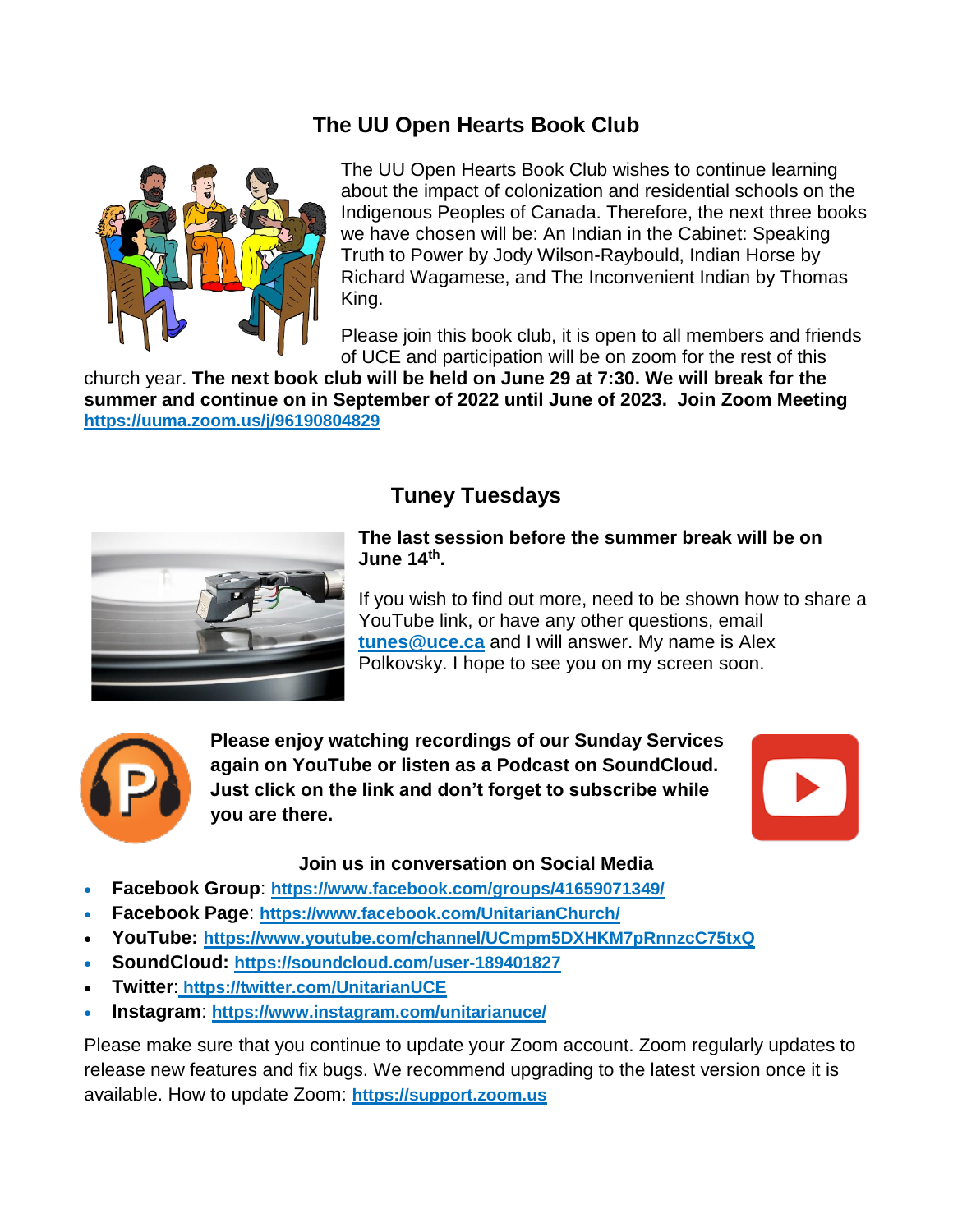# **The UU Open Hearts Book Club**

<span id="page-6-0"></span>

The UU Open Hearts Book Club wishes to continue learning about the impact of colonization and residential schools on the Indigenous Peoples of Canada. Therefore, the next three books we have chosen will be: An Indian in the Cabinet: Speaking Truth to Power by Jody Wilson-Raybould, Indian Horse by Richard Wagamese, and The Inconvenient Indian by Thomas King.

Please join this book club, it is open to all members and friends of UCE and participation will be on zoom for the rest of this

church year. **The next book club will be held on June 29 at 7:30. We will break for the summer and continue on in September of 2022 until June of 2023. Join Zoom Meeting <https://uuma.zoom.us/j/96190804829>**

# **Tuney Tuesdays**

<span id="page-6-1"></span>

#### **The last session before the summer break will be on June 14th .**

If you wish to find out more, need to be shown how to share a YouTube link, or have any other questions, email **[tunes@uce.ca](mailto:tunes@uce.ca)** and I will answer. My name is Alex Polkovsky. I hope to see you on my screen soon.



**Please enjoy watching recordings of our Sunday Services again on YouTube or listen as a Podcast on SoundCloud. Just click on the link and don't forget to subscribe while you are there.**



#### **Join us in conversation on Social Media**

- **Facebook Group**: **<https://www.facebook.com/groups/41659071349/>**
- **Facebook Page**: **<https://www.facebook.com/UnitarianChurch/>**
- **YouTube: <https://www.youtube.com/channel/UCmpm5DXHKM7pRnnzcC75txQ>**
- **SoundCloud: <https://soundcloud.com/user-189401827>**
- **Twitter**: **<https://twitter.com/UnitarianUCE>**
- **Instagram**: **<https://www.instagram.com/unitarianuce/>**

Please make sure that you continue to update your Zoom account. Zoom regularly updates to release new features and fix bugs. We recommend upgrading to the latest version once it is available. How to update Zoom: **[https://support.zoom.us](https://support.zoom.us/hc/en-us/articles/201362233-Upgrade-update-to-the-latest-version)**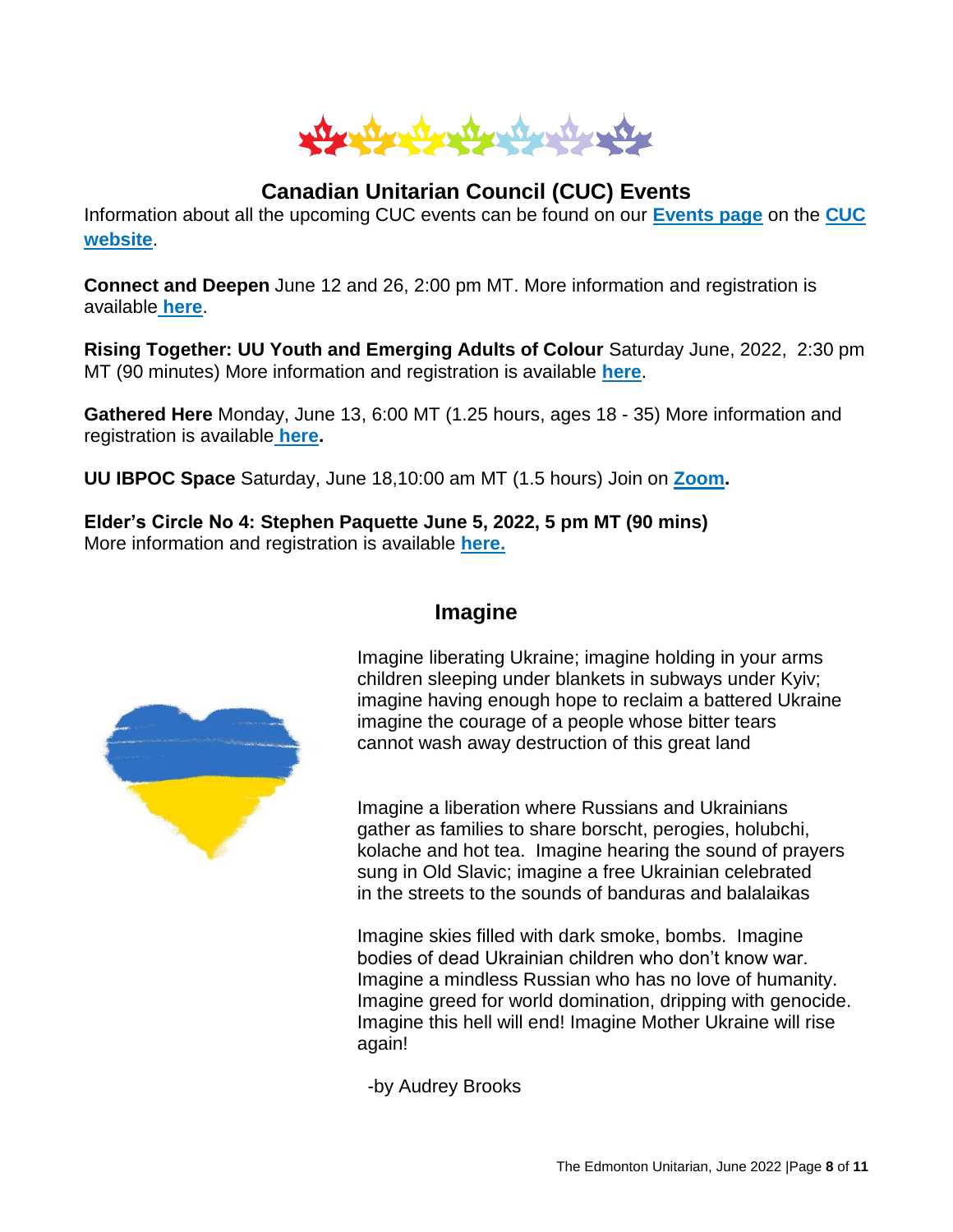

# **Canadian Unitarian Council (CUC) Events**

<span id="page-7-0"></span>Information about all the upcoming CUC events can be found on our **[Events page](https://cuc.ca/events/)** on the **[CUC](https://cuc.ca/)  [website](https://cuc.ca/)**.

**Connect and Deepen** June 12 and 26, 2:00 pm MT. More information and registration is available **[here](https://cuc.ca/events/connect-deepen-nov-dec-2021/1639324800/1639330200/)**.

**Rising Together: UU Youth and Emerging Adults of Colour** Saturday June, 2022, 2:30 pm MT (90 minutes) More information and registration is available **[here](https://cuc.ca/events/rising-together-april-2022/1648917000/1648922400/)**.

**Gathered Here** Monday, June 13, 6:00 MT (1.25 hours, ages 18 - 35) More information and registration is available **[here.](https://cuc.ca/events/gathered-here-october-december-2021/1639058400/1639063800/)**

**UU IBPOC Space** Saturday, June 18,10:00 am MT (1.5 hours) Join on **[Zoom.](http://bit.ly/UU_BIPOC)**

<span id="page-7-1"></span>**Elder's Circle No 4: Stephen Paquette June 5, 2022, 5 pm MT (90 mins)** More information and registration is available **[here.](https://cuc.ca/events/elders-circle-3/1651690800/1651696200/)**



#### **Imagine**

Imagine liberating Ukraine; imagine holding in your arms children sleeping under blankets in subways under Kyiv; imagine having enough hope to reclaim a battered Ukraine imagine the courage of a people whose bitter tears cannot wash away destruction of this great land

Imagine a liberation where Russians and Ukrainians gather as families to share borscht, perogies, holubchi, kolache and hot tea. Imagine hearing the sound of prayers sung in Old Slavic; imagine a free Ukrainian celebrated in the streets to the sounds of banduras and balalaikas

Imagine skies filled with dark smoke, bombs. Imagine bodies of dead Ukrainian children who don't know war. Imagine a mindless Russian who has no love of humanity. Imagine greed for world domination, dripping with genocide. Imagine this hell will end! Imagine Mother Ukraine will rise again!

-by Audrey Brooks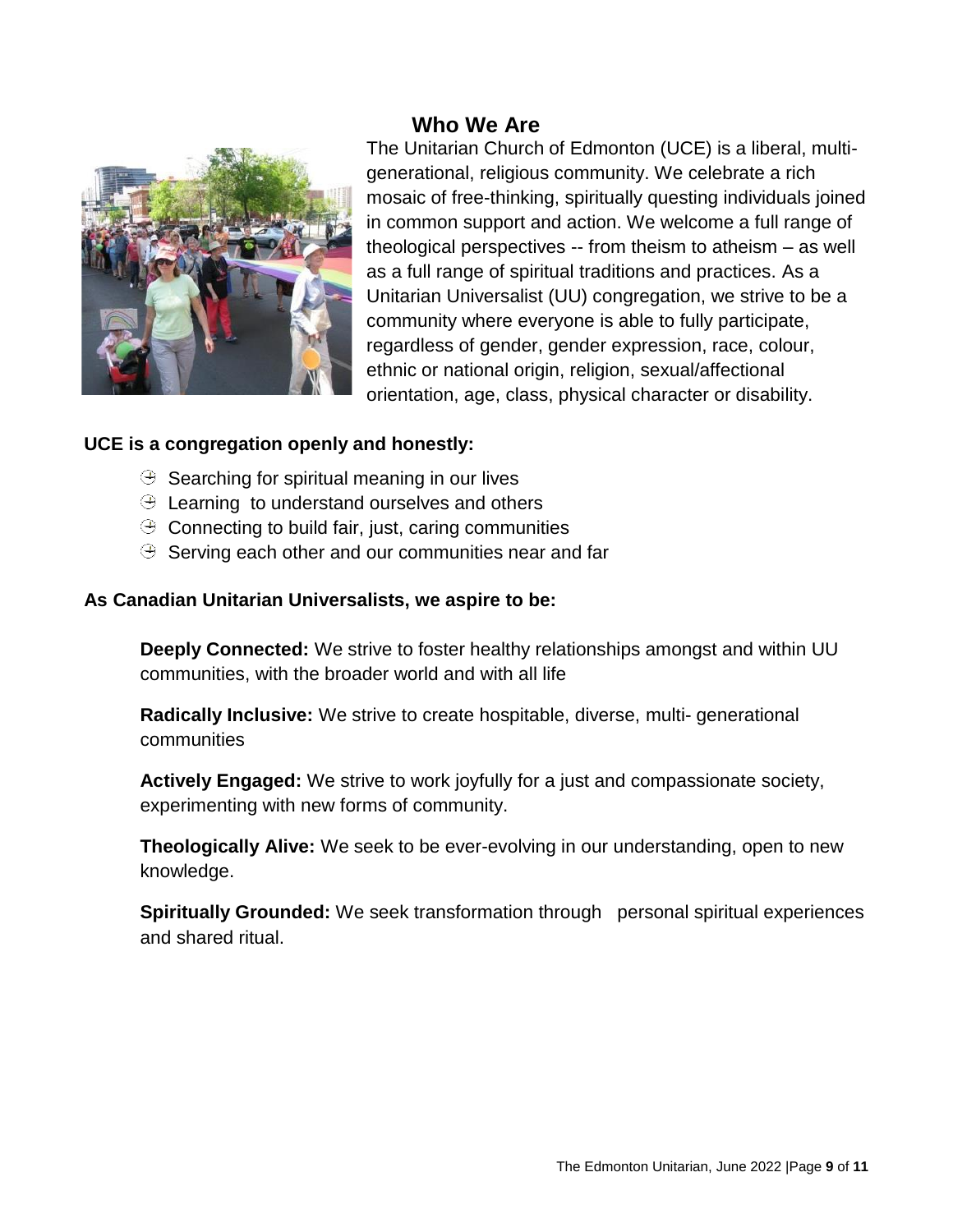# **Who We Are**

<span id="page-8-0"></span>

The Unitarian Church of Edmonton (UCE) is a liberal, multigenerational, religious community. We celebrate a rich mosaic of free-thinking, spiritually questing individuals joined in common support and action. We welcome a full range of theological perspectives -- from theism to atheism – as well as a full range of spiritual traditions and practices. As a Unitarian Universalist (UU) congregation, we strive to be a community where everyone is able to fully participate, regardless of gender, gender expression, race, colour, ethnic or national origin, religion, sexual/affectional orientation, age, class, physical character or disability.

#### **UCE is a congregation openly and honestly:**

- $\Theta$  Searching for spiritual meaning in our lives
- $\Theta$  Learning to understand ourselves and others
- $\Theta$  Connecting to build fair, just, caring communities
- $\Theta$  Serving each other and our communities near and far

#### **As Canadian Unitarian Universalists, we aspire to be:**

**Deeply Connected:** We strive to foster healthy relationships amongst and within UU communities, with the broader world and with all life

**Radically Inclusive:** We strive to create hospitable, diverse, multi- generational communities

**Actively Engaged:** We strive to work joyfully for a just and compassionate society, experimenting with new forms of community.

**Theologically Alive:** We seek to be ever-evolving in our understanding, open to new knowledge.

**Spiritually Grounded:** We seek transformation through personal spiritual experiences and shared ritual.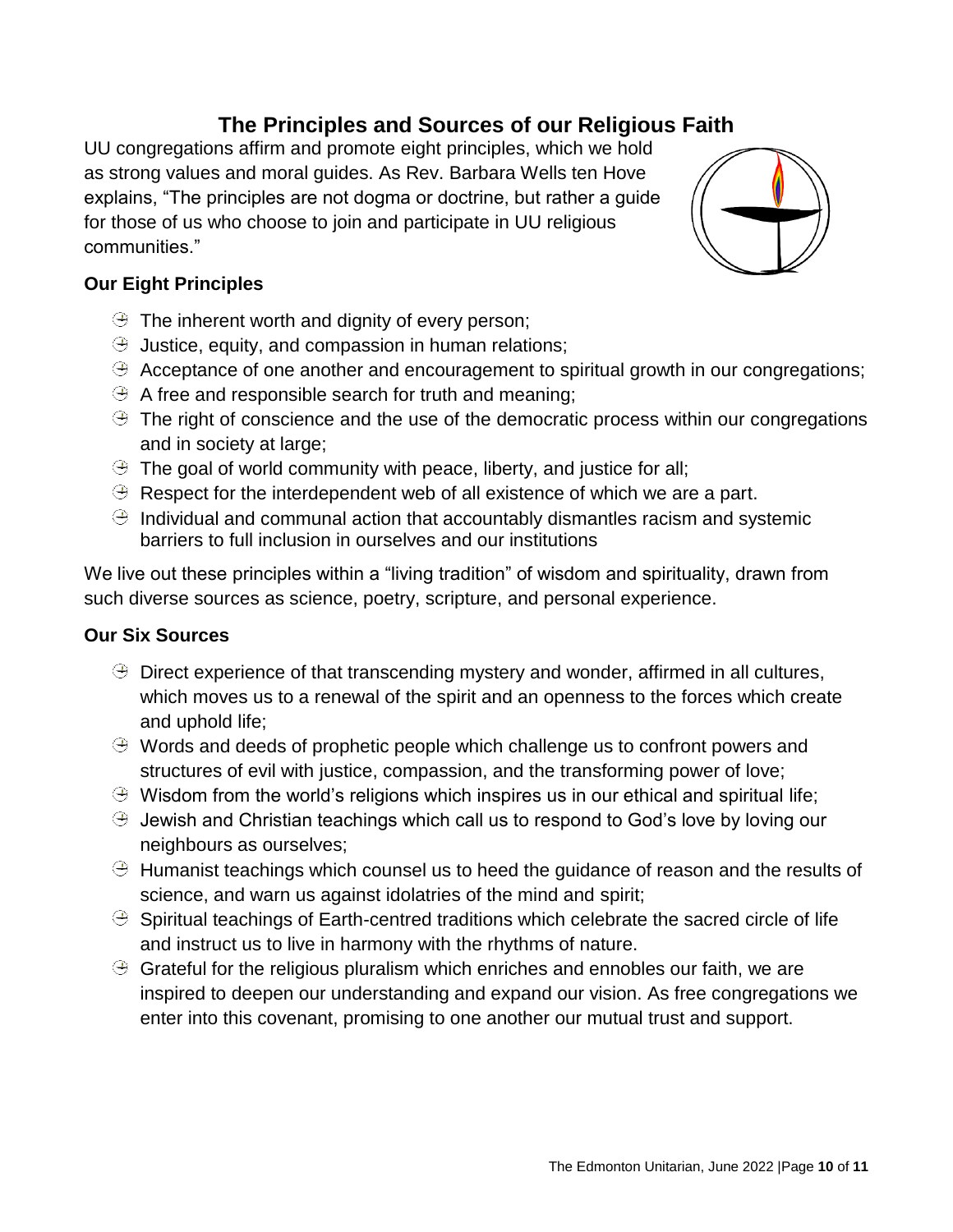# **The Principles and Sources of our Religious Faith**

<span id="page-9-0"></span>UU congregations affirm and promote eight principles, which we hold as strong values and moral guides. As Rev. Barbara Wells ten Hove explains, "The principles are not dogma or doctrine, but rather a guide for those of us who choose to join and participate in UU religious communities."



- $\Theta$  The inherent worth and dignity of every person;
- $\Theta$  Justice, equity, and compassion in human relations;
- $\Theta$  Acceptance of one another and encouragement to spiritual growth in our congregations;
- $\Theta$  A free and responsible search for truth and meaning;
- $\Theta$  The right of conscience and the use of the democratic process within our congregations and in society at large;
- $\Theta$  The goal of world community with peace, liberty, and justice for all;
- $\Theta$  Respect for the interdependent web of all existence of which we are a part.
- $\Theta$  Individual and communal action that accountably dismantles racism and systemic barriers to full inclusion in ourselves and our institutions

We live out these principles within a "living tradition" of wisdom and spirituality, drawn from such diverse sources as science, poetry, scripture, and personal experience.

#### **Our Six Sources**

- $\Theta$  Direct experience of that transcending mystery and wonder, affirmed in all cultures, which moves us to a renewal of the spirit and an openness to the forces which create and uphold life;
- $\Theta$  Words and deeds of prophetic people which challenge us to confront powers and structures of evil with justice, compassion, and the transforming power of love;
- $\Theta$  Wisdom from the world's religions which inspires us in our ethical and spiritual life;
- $\Theta$  Jewish and Christian teachings which call us to respond to God's love by loving our neighbours as ourselves;
- $\Theta$  Humanist teachings which counsel us to heed the guidance of reason and the results of science, and warn us against idolatries of the mind and spirit;
- $\Theta$  Spiritual teachings of Earth-centred traditions which celebrate the sacred circle of life and instruct us to live in harmony with the rhythms of nature.
- $\Theta$  Grateful for the religious pluralism which enriches and ennobles our faith, we are inspired to deepen our understanding and expand our vision. As free congregations we enter into this covenant, promising to one another our mutual trust and support.